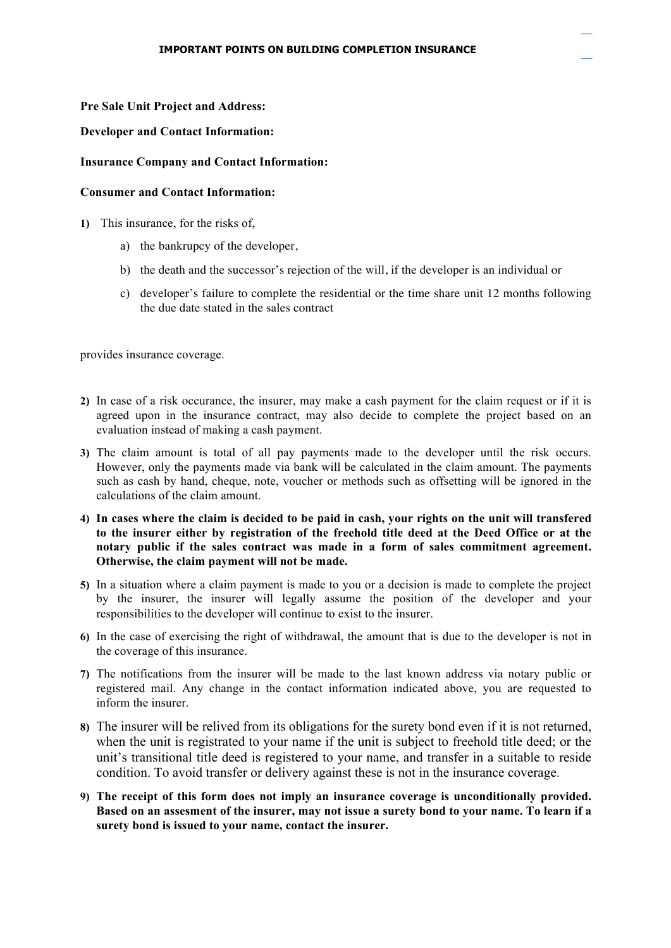## **Pre Sale Unit Project and Address:**

## **Developer and Contact Information:**

## **Insurance Company and Contact Information:**

## **Consumer and Contact Information:**

- **1)** This insurance, for the risks of,
	- a) the bankrupcy of the developer,
	- b) the death and the successor's rejection of the will, if the developer is an individual or
	- c) developer's failure to complete the residential or the time share unit 12 months following the due date stated in the sales contract

provides insurance coverage.

- **2)** In case of a risk occurance, the insurer, may make a cash payment for the claim request or if it is agreed upon in the insurance contract, may also decide to complete the project based on an evaluation instead of making a cash payment.
- **3)** The claim amount is total of all pay payments made to the developer until the risk occurs. However, only the payments made via bank will be calculated in the claim amount. The payments such as cash by hand, cheque, note, voucher or methods such as offsetting will be ignored in the calculations of the claim amount.
- **4) In cases where the claim is decided to be paid in cash, your rights on the unit will transfered to the insurer either by registration of the freehold title deed at the Deed Office or at the notary public if the sales contract was made in a form of sales commitment agreement. Otherwise, the claim payment will not be made.**
- **5)** In a situation where a claim payment is made to you or a decision is made to complete the project by the insurer, the insurer will legally assume the position of the developer and your responsibilities to the developer will continue to exist to the insurer.
- **6)** In the case of exercising the right of withdrawal, the amount that is due to the developer is not in the coverage of this insurance.
- **7)** The notifications from the insurer will be made to the last known address via notary public or registered mail. Any change in the contact information indicated above, you are requested to inform the insurer.
- **8)** The insurer will be relived from its obligations for the surety bond even if it is not returned, when the unit is registrated to your name if the unit is subject to freehold title deed; or the unit's transitional title deed is registered to your name, and transfer in a suitable to reside condition. To avoid transfer or delivery against these is not in the insurance coverage.
- **9) The receipt of this form does not imply an insurance coverage is unconditionally provided. Based on an assesment of the insurer, may not issue a surety bond to your name. To learn if a surety bond is issued to your name, contact the insurer.**